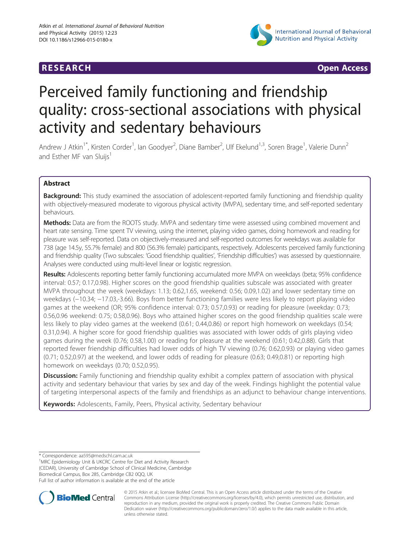

**RESEARCH RESEARCH CONSUMING ACCESS** 

# Perceived family functioning and friendship quality: cross-sectional associations with physical activity and sedentary behaviours

Andrew J Atkin<sup>1\*</sup>, Kirsten Corder<sup>1</sup>, Ian Goodyer<sup>2</sup>, Diane Bamber<sup>2</sup>, Ulf Ekelund<sup>1,3</sup>, Soren Brage<sup>1</sup>, Valerie Dunn<sup>2</sup> and Esther MF van Sluijs<sup>1</sup>

### Abstract

**Background:** This study examined the association of adolescent-reported family functioning and friendship quality with objectively-measured moderate to vigorous physical activity (MVPA), sedentary time, and self-reported sedentary behaviours.

**Methods:** Data are from the ROOTS study. MVPA and sedentary time were assessed using combined movement and heart rate sensing. Time spent TV viewing, using the internet, playing video games, doing homework and reading for pleasure was self-reported. Data on objectively-measured and self-reported outcomes for weekdays was available for 738 (age 14.5y, 55.7% female) and 800 (56.3% female) participants, respectively. Adolescents perceived family functioning and friendship quality (Two subscales: 'Good friendship qualities', 'Friendship difficulties') was assessed by questionnaire. Analyses were conducted using multi-level linear or logistic regression.

Results: Adolescents reporting better family functioning accumulated more MVPA on weekdays (beta; 95% confidence interval: 0.57; 0.17,0.98). Higher scores on the good friendship qualities subscale was associated with greater MVPA throughout the week (weekdays: 1.13; 0.62,1.65, weekend: 0.56; 0.09,1.02) and lower sedentary time on weekdays (-10.34; -17.03,-3.66). Boys from better functioning families were less likely to report playing video games at the weekend (OR; 95% confidence interval: 0.73; 0.57,0.93) or reading for pleasure (weekday: 0.73; 0.56,0.96 weekend: 0.75; 0.58,0.96). Boys who attained higher scores on the good friendship qualities scale were less likely to play video games at the weekend (0.61; 0.44,0.86) or report high homework on weekdays (0.54; 0.31,0.94). A higher score for good friendship qualities was associated with lower odds of girls playing video games during the week (0.76; 0.58,1.00) or reading for pleasure at the weekend (0.61; 0.42,0.88). Girls that reported fewer friendship difficulties had lower odds of high TV viewing (0.76; 0.62,0.93) or playing video games (0.71; 0.52,0.97) at the weekend, and lower odds of reading for pleasure (0.63; 0.49,0.81) or reporting high homework on weekdays (0.70; 0.52,0.95).

Discussion: Family functioning and friendship quality exhibit a complex pattern of association with physical activity and sedentary behaviour that varies by sex and day of the week. Findings highlight the potential value of targeting interpersonal aspects of the family and friendships as an adjunct to behaviour change interventions.

Keywords: Adolescents, Family, Peers, Physical activity, Sedentary behaviour

\* Correspondence: [aa595@medschl.cam.ac.uk](mailto:aa595@medschl.cam.ac.uk) <sup>1</sup>

MRC Epidemiology Unit & UKCRC Centre for Diet and Activity Research (CEDAR), University of Cambridge School of Clinical Medicine, Cambridge Biomedical Campus, Box 285, Cambridge CB2 0QQ, UK Full list of author information is available at the end of the article



© 2015 Atkin et al.; licensee BioMed Central. This is an Open Access article distributed under the terms of the Creative Commons Attribution License [\(http://creativecommons.org/licenses/by/4.0\)](http://creativecommons.org/licenses/by/4.0), which permits unrestricted use, distribution, and reproduction in any medium, provided the original work is properly credited. The Creative Commons Public Domain Dedication waiver [\(http://creativecommons.org/publicdomain/zero/1.0/](http://creativecommons.org/publicdomain/zero/1.0/)) applies to the data made available in this article, unless otherwise stated.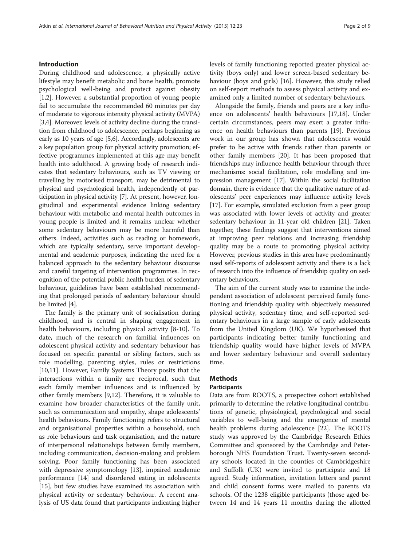#### Introduction

During childhood and adolescence, a physically active lifestyle may benefit metabolic and bone health, promote psychological well-being and protect against obesity [[1,2\]](#page-7-0). However, a substantial proportion of young people fail to accumulate the recommended 60 minutes per day of moderate to vigorous intensity physical activity (MVPA) [[3,4](#page-7-0)]. Moreover, levels of activity decline during the transition from childhood to adolescence, perhaps beginning as early as 10 years of age [\[5,6\]](#page-7-0). Accordingly, adolescents are a key population group for physical activity promotion; effective programmes implemented at this age may benefit health into adulthood. A growing body of research indicates that sedentary behaviours, such as TV viewing or travelling by motorised transport, may be detrimental to physical and psychological health, independently of participation in physical activity [[7](#page-7-0)]. At present, however, longitudinal and experimental evidence linking sedentary behaviour with metabolic and mental health outcomes in young people is limited and it remains unclear whether some sedentary behaviours may be more harmful than others. Indeed, activities such as reading or homework, which are typically sedentary, serve important developmental and academic purposes, indicating the need for a balanced approach to the sedentary behaviour discourse and careful targeting of intervention programmes. In recognition of the potential public health burden of sedentary behaviour, guidelines have been established recommending that prolonged periods of sedentary behaviour should be limited [\[4](#page-7-0)].

The family is the primary unit of socialisation during childhood, and is central in shaping engagement in health behaviours, including physical activity [\[8](#page-7-0)-[10\]](#page-7-0). To date, much of the research on familial influences on adolescent physical activity and sedentary behaviour has focused on specific parental or sibling factors, such as role modelling, parenting styles, rules or restrictions [[10,11\]](#page-7-0). However, Family Systems Theory posits that the interactions within a family are reciprocal, such that each family member influences and is influenced by other family members [[9,12\]](#page-7-0). Therefore, it is valuable to examine how broader characteristics of the family unit, such as communication and empathy, shape adolescents' health behaviours. Family functioning refers to structural and organisational properties within a household, such as role behaviours and task organisation, and the nature of interpersonal relationships between family members, including communication, decision-making and problem solving. Poor family functioning has been associated with depressive symptomology [[13](#page-7-0)], impaired academic performance [\[14](#page-7-0)] and disordered eating in adolescents [[15\]](#page-7-0), but few studies have examined its association with physical activity or sedentary behaviour. A recent analysis of US data found that participants indicating higher levels of family functioning reported greater physical activity (boys only) and lower screen-based sedentary behaviour (boys and girls) [[16\]](#page-7-0). However, this study relied on self-report methods to assess physical activity and examined only a limited number of sedentary behaviours.

Alongside the family, friends and peers are a key influence on adolescents' health behaviours [\[17,18](#page-7-0)]. Under certain circumstances, peers may exert a greater influence on health behaviours than parents [[19](#page-7-0)]. Previous work in our group has shown that adolescents would prefer to be active with friends rather than parents or other family members [\[20\]](#page-7-0). It has been proposed that friendships may influence health behaviour through three mechanisms: social facilitation, role modelling and impression management [\[17\]](#page-7-0). Within the social facilitation domain, there is evidence that the qualitative nature of adolescents' peer experiences may influence activity levels [[17](#page-7-0)]. For example, simulated exclusion from a peer group was associated with lower levels of activity and greater sedentary behaviour in 11-year old children [\[21\]](#page-7-0). Taken together, these findings suggest that interventions aimed at improving peer relations and increasing friendship quality may be a route to promoting physical activity. However, previous studies in this area have predominantly used self-reports of adolescent activity and there is a lack of research into the influence of friendship quality on sedentary behaviours.

The aim of the current study was to examine the independent association of adolescent perceived family functioning and friendship quality with objectively measured physical activity, sedentary time, and self-reported sedentary behaviours in a large sample of early adolescents from the United Kingdom (UK). We hypothesised that participants indicating better family functioning and friendship quality would have higher levels of MVPA and lower sedentary behaviour and overall sedentary time.

#### Methods

#### Participants

Data are from ROOTS, a prospective cohort established primarily to determine the relative longitudinal contributions of genetic, physiological, psychological and social variables to well-being and the emergence of mental health problems during adolescence [\[22\]](#page-7-0). The ROOTS study was approved by the Cambridge Research Ethics Committee and sponsored by the Cambridge and Peterborough NHS Foundation Trust. Twenty-seven secondary schools located in the counties of Cambridgeshire and Suffolk (UK) were invited to participate and 18 agreed. Study information, invitation letters and parent and child consent forms were mailed to parents via schools. Of the 1238 eligible participants (those aged between 14 and 14 years 11 months during the allotted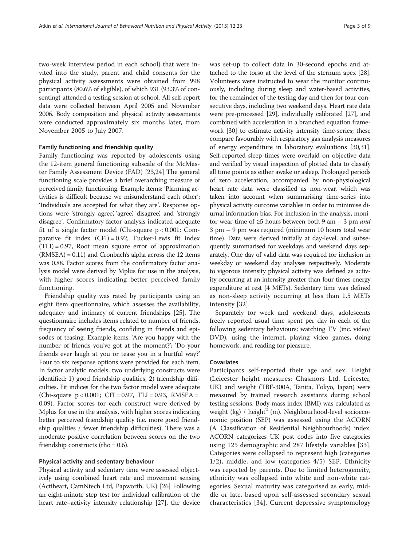two-week interview period in each school) that were invited into the study, parent and child consents for the physical activity assessments were obtained from 998 participants (80.6% of eligible), of which 931 (93.3% of consenting) attended a testing session at school. All self-report data were collected between April 2005 and November 2006. Body composition and physical activity assessments were conducted approximately six months later, from November 2005 to July 2007.

#### Family functioning and friendship quality

Family functioning was reported by adolescents using the 12-item general functioning subscale of the McMaster Family Assessment Device (FAD) [[23,24\]](#page-7-0) The general functioning scale provides a brief overarching measure of perceived family functioning. Example items: 'Planning activities is difficult because we misunderstand each other'; 'Individuals are accepted for what they are'. Response options were 'strongly agree', 'agree', 'disagree', and 'strongly disagree'. Confirmatory factor analysis indicated adequate fit of a single factor model (Chi-square p < 0.001; Comparative fit index  $(CFI) = 0.92$ , Tucker-Lewis fit index (TLI) = 0.97, Root mean square error of approximation (RMSEA) = 0.11) and Cronbach's alpha across the 12 items was 0.88. Factor scores from the confirmatory factor analysis model were derived by Mplus for use in the analysis, with higher scores indicating better perceived family functioning.

Friendship quality was rated by participants using an eight item questionnaire, which assesses the availability, adequacy and intimacy of current friendships [\[25\]](#page-7-0). The questionnaire includes items related to number of friends, frequency of seeing friends, confiding in friends and episodes of teasing. Example items: 'Are you happy with the number of friends you've got at the moment?'; 'Do your friends ever laugh at you or tease you in a hurtful way?' Four to six response options were provided for each item. In factor analytic models, two underlying constructs were identified: 1) good friendship qualities, 2) friendship difficulties. Fit indices for the two factor model were adequate (Chi-square p < 0.001; CFI = 0.97, TLI = 0.93, RMSEA = 0.09). Factor scores for each construct were derived by Mplus for use in the analysis, with higher scores indicating better perceived friendship quality (i.e. more good friendship qualities / fewer friendship difficulties). There was a moderate positive correlation between scores on the two friendship constructs (rho  $= 0.6$ ).

#### Physical activity and sedentary behaviour

Physical activity and sedentary time were assessed objectively using combined heart rate and movement sensing (Actiheart, CamNtech Ltd, Papworth, UK) [\[26\]](#page-7-0) Following an eight-minute step test for individual calibration of the heart rate–activity intensity relationship [\[27\]](#page-8-0), the device was set-up to collect data in 30-second epochs and attached to the torso at the level of the sternum apex [[28](#page-8-0)]. Volunteers were instructed to wear the monitor continuously, including during sleep and water-based activities, for the remainder of the testing day and then for four consecutive days, including two weekend days. Heart rate data were pre-processed [\[29\]](#page-8-0), individually calibrated [\[27\]](#page-8-0), and combined with acceleration in a branched equation framework [\[30\]](#page-8-0) to estimate activity intensity time-series; these compare favourably with respiratory gas analysis measures of energy expenditure in laboratory evaluations [\[30,31](#page-8-0)]. Self-reported sleep times were overlaid on objective data and verified by visual inspection of plotted data to classify all time points as either awake or asleep. Prolonged periods of zero acceleration, accompanied by non-physiological heart rate data were classified as non-wear, which was taken into account when summarising time-series into physical activity outcome variables in order to minimise diurnal information bias. For inclusion in the analysis, monitor wear-time of  $\geq 5$  hours between both 9 am – 3 pm *and* 3 pm – 9 pm was required (minimum 10 hours total wear time). Data were derived initially at day-level, and subsequently summarised for weekdays and weekend days separately. One day of valid data was required for inclusion in weekday or weekend day analyses respectively. Moderate to vigorous intensity physical activity was defined as activity occurring at an intensity greater than four times energy expenditure at rest (4 METs). Sedentary time was defined as non-sleep activity occurring at less than 1.5 METs intensity [\[32](#page-8-0)].

Separately for week and weekend days, adolescents freely reported usual time spent per day in each of the following sedentary behaviours: watching TV (inc. video/ DVD), using the internet, playing video games, doing homework, and reading for pleasure.

#### Covariates

Participants self-reported their age and sex. Height (Leicester height measures; Chasmors Ltd, Leicester, UK) and weight (TBF-300A, Tanita, Tokyo, Japan) were measured by trained research assistants during school testing sessions. Body mass index (BMI) was calculated as weight (kg) / height<sup>2</sup> (m). Neighbourhood-level socioeconomic position (SEP) was assessed using the ACORN (A Classification of Residential Neighbourhoods) index. ACORN categorizes UK post codes into five categories using 125 demographic and 287 lifestyle variables [[33](#page-8-0)]. Categories were collapsed to represent high (categories 1/2), middle, and low (categories 4/5) SEP. Ethnicity was reported by parents. Due to limited heterogeneity, ethnicity was collapsed into white and non-white categories. Sexual maturity was categorised as early, middle or late, based upon self-assessed secondary sexual characteristics [\[34\]](#page-8-0). Current depressive symptomology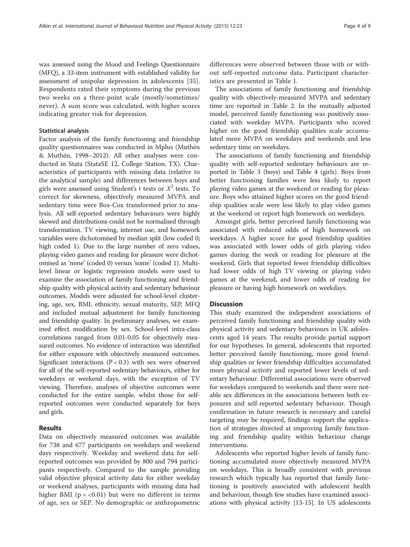was assessed using the Mood and Feelings Questionnaire (MFQ), a 33-item instrument with established validity for assessment of unipolar depression in adolescents [[35](#page-8-0)]. Respondents rated their symptoms during the previous two weeks on a three-point scale (mostly/sometimes/ never). A sum score was calculated, with higher scores indicating greater risk for depression.

#### Statistical analysis

Factor analysis of the family functioning and friendship quality questionnaires was conducted in Mplus (Muthén & Muthén, 1998–2012). All other analyses were conducted in Stata (StataSE 12, College Station, TX). Characteristics of participants with missing data (relative to the analytical sample) and differences between boys and girls were assessed using Student's t tests or  $X^2$  tests. To correct for skewness, objectively measured MVPA and sedentary time were Box-Cox transformed prior to analysis. All self-reported sedentary behaviours were highly skewed and distributions could not be normalised through transformation. TV viewing, internet use, and homework variables were dichotomised by median split (low coded 0; high coded 1). Due to the large number of zero values, playing video games and reading for pleasure were dichotomised as 'none' (coded 0) versus 'some' (coded 1). Multilevel linear or logistic regression models were used to examine the association of family functioning and friendship quality with physical activity and sedentary behaviour outcomes. Models were adjusted for school-level clustering, age, sex, BMI, ethnicity, sexual maturity, SEP, MFQ and included mutual adjustment for family functioning and friendship quality. In preliminary analyses, we examined effect modification by sex. School-level intra-class correlations ranged from 0.01-0.05 for objectively measured outcomes. No evidence of interaction was identified for either exposure with objectively measured outcomes. Significant interactions ( $P < 0.1$ ) with sex were observed for all of the self-reported sedentary behaviours, either for weekdays or weekend days, with the exception of TV viewing. Therefore, analyses of objective outcomes were conducted for the entire sample, whilst those for selfreported outcomes were conducted separately for boys and girls.

#### Results

Data on objectively measured outcomes was available for 738 and 677 participants on weekdays and weekend days respectively. Weekday and weekend data for selfreported outcomes was provided by 800 and 794 participants respectively. Compared to the sample providing valid objective physical activity data for either weekday or weekend analyses, participants with missing data had higher BMI ( $p = < 0.01$ ) but were no different in terms of age, sex or SEP. No demographic or anthropometric differences were observed between those with or without self-reported outcome data. Participant characteristics are presented in Table [1.](#page-4-0)

The associations of family functioning and friendship quality with objectively-measured MVPA and sedentary time are reported in Table [2](#page-5-0). In the mutually adjusted model, perceived family functioning was positively associated with weekday MVPA. Participants who scored higher on the good friendship qualities scale accumulated more MVPA on weekdays and weekends and less sedentary time on weekdays.

The associations of family functioning and friendship quality with self-reported sedentary behaviours are reported in Table [3](#page-5-0) (boys) and Table [4](#page-6-0) (girls). Boys from better functioning families were less likely to report playing video games at the weekend or reading for pleasure. Boys who attained higher scores on the good friendship qualities scale were less likely to play video games at the weekend or report high homework on weekdays.

Amongst girls, better perceived family functioning was associated with reduced odds of high homework on weekdays. A higher score for good friendship qualities was associated with lower odds of girls playing video games during the week or reading for pleasure at the weekend. Girls that reported fewer friendship difficulties had lower odds of high TV viewing or playing video games at the weekend, and lower odds of reading for pleasure or having high homework on weekdays.

#### **Discussion**

This study examined the independent associations of perceived family functioning and friendship quality with physical activity and sedentary behaviours in UK adolescents aged 14 years. The results provide partial support for our hypotheses. In general, adolescents that reported better perceived family functioning, more good friendship qualities or fewer friendship difficulties accumulated more physical activity and reported lower levels of sedentary behaviour. Differential associations were observed for weekdays compared to weekends and there were notable sex differences in the associations between both exposures and self-reported sedentary behaviour. Though confirmation in future research is necessary and careful targeting may be required, findings support the application of strategies directed at improving family functioning and friendship quality within behaviour change interventions.

Adolescents who reported higher levels of family functioning accumulated more objectively measured MVPA on weekdays. This is broadly consistent with previous research which typically has reported that family functioning is positively associated with adolescent health and behaviour, though few studies have examined associations with physical activity [\[13](#page-7-0)-[15\]](#page-7-0). In US adolescents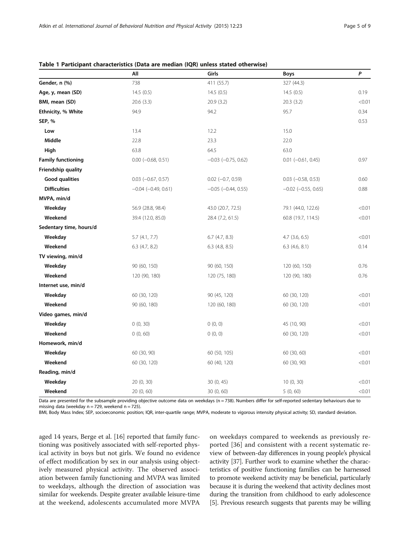|                           | All                         | Girls                   | <b>Boys</b>                 | P      |
|---------------------------|-----------------------------|-------------------------|-----------------------------|--------|
| Gender, n (%)             | 738                         | 411 (55.7)              | 327 (44.3)                  |        |
| Age, y, mean (SD)         | 14.5(0.5)                   | 14.5(0.5)               | 14.5(0.5)                   | 0.19   |
| BMI, mean (SD)            | 20.6 (3.3)                  | 20.9 (3.2)              | 20.3(3.2)                   | < 0.01 |
| Ethnicity, % White        | 94.9                        | 94.2                    | 95.7                        | 0.34   |
| SEP, %                    |                             |                         |                             | 0.53   |
| Low                       | 13.4                        | 12.2                    | 15.0                        |        |
| Middle                    | 22.8                        | 23.3                    | 22.0                        |        |
| High                      | 63.8                        | 64.5                    | 63.0                        |        |
| <b>Family functioning</b> | $0.00$ ( $-0.68$ , $0.51$ ) | $-0.03$ $(-0.75, 0.62)$ | $0.01$ $(-0.61, 0.45)$      | 0.97   |
| Friendship quality        |                             |                         |                             |        |
| Good qualities            | $0.03$ ( $-0.67$ , $0.57$ ) | $0.02$ (-0.7, 0.59)     | $0.03$ ( $-0.58$ , $0.53$ ) | 0.60   |
| <b>Difficulties</b>       | $-0.04$ $(-0.49, 0.61)$     | $-0.05$ $(-0.44, 0.55)$ | $-0.02$ $(-0.55, 0.65)$     | 0.88   |
| MVPA, min/d               |                             |                         |                             |        |
| Weekday                   | 56.9 (28.8, 98.4)           | 43.0 (20.7, 72.5)       | 79.1 (44.0, 122.6)          | < 0.01 |
| Weekend                   | 39.4 (12.0, 85.0)           | 28.4 (7.2, 61.5)        | 60.8 (19.7, 114.5)          | < 0.01 |
| Sedentary time, hours/d   |                             |                         |                             |        |
| Weekday                   | 5.7(4.1, 7.7)               | $6.7$ $(4.7, 8.3)$      | $4.7$ $(3.6, 6.5)$          | < 0.01 |
| Weekend                   | $6.3$ (4.7, 8.2)            | $6.3$ (4.8, 8.5)        | $6.3$ $(4.6, 8.1)$          | 0.14   |
| TV viewing, min/d         |                             |                         |                             |        |
| Weekday                   | 90 (60, 150)                | 90 (60, 150)            | 120 (60, 150)               | 0.76   |
| Weekend                   | 120 (90, 180)               | 120 (75, 180)           | 120 (90, 180)               | 0.76   |
| Internet use, min/d       |                             |                         |                             |        |
| Weekday                   | 60 (30, 120)                | 90 (45, 120)            | 60 (30, 120)                | < 0.01 |
| Weekend                   | 90 (60, 180)                | 120 (60, 180)           | 60 (30, 120)                | < 0.01 |
| Video games, min/d        |                             |                         |                             |        |
| Weekday                   | 0(0, 30)                    | 0(0, 0)                 | 45 (10, 90)                 | < 0.01 |
| Weekend                   | 0(0, 60)                    | 0(0, 0)                 | 60 (30, 120)                | < 0.01 |
| Homework, min/d           |                             |                         |                             |        |
| Weekday                   | 60 (30, 90)                 | 60 (50, 105)            | 60 (30, 60)                 | < 0.01 |
| Weekend                   | 60 (30, 120)                | 60 (40, 120)            | 60 (30, 90)                 | < 0.01 |
| Reading, min/d            |                             |                         |                             |        |
| Weekday                   | 20 (0, 30)                  | 30 (0, 45)              | 10(0, 30)                   | < 0.01 |
| Weekend                   | 20 (0, 60)                  | 30 (0, 60)              | 5(0, 60)                    | < 0.01 |

<span id="page-4-0"></span>

|  |  | Table 1 Participant characteristics (Data are median (IQR) unless stated otherwise) |  |  |  |  |  |  |
|--|--|-------------------------------------------------------------------------------------|--|--|--|--|--|--|
|--|--|-------------------------------------------------------------------------------------|--|--|--|--|--|--|

Data are presented for the subsample providing objective outcome data on weekdays (n = 738). Numbers differ for self-reported sedentary behaviours due to missing data (weekday n = 729, weekend n = 725).

BMI, Body Mass Index; SEP, socioeconomic position; IQR, inter-quartile range; MVPA, moderate to vigorous intensity physical activity; SD, standard deviation.

aged 14 years, Berge et al. [[16](#page-7-0)] reported that family functioning was positively associated with self-reported physical activity in boys but not girls. We found no evidence of effect modification by sex in our analysis using objectively measured physical activity. The observed association between family functioning and MVPA was limited to weekdays, although the direction of association was similar for weekends. Despite greater available leisure-time at the weekend, adolescents accumulated more MVPA

on weekdays compared to weekends as previously reported [[36](#page-8-0)] and consistent with a recent systematic review of between-day differences in young people's physical activity [[37](#page-8-0)]. Further work to examine whether the characteristics of positive functioning families can be harnessed to promote weekend activity may be beneficial, particularly because it is during the weekend that activity declines most during the transition from childhood to early adolescence [[5](#page-7-0)]. Previous research suggests that parents may be willing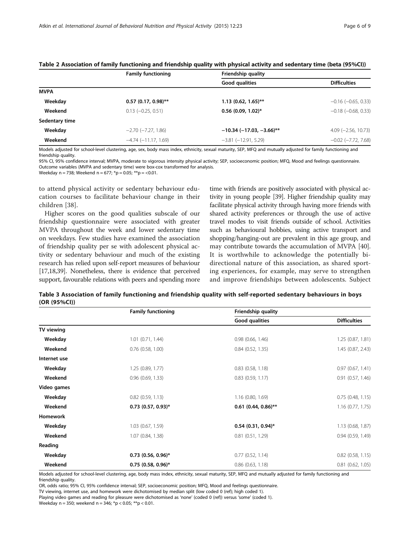|                | <b>Family functioning</b>  | Friendship quality         |                           |  |
|----------------|----------------------------|----------------------------|---------------------------|--|
|                |                            | Good qualities             | <b>Difficulties</b>       |  |
| <b>MVPA</b>    |                            |                            |                           |  |
| Weekday        | $0.57$ (0.17, 0.98)**      | $1.13$ (0.62, 1.65)**      | $-0.16$ ( $-0.65$ , 0.33) |  |
| Weekend        | $0.13$ (-0.25, 0.51)       | $0.56$ (0.09, 1.02)*       | $-0.18$ ( $-0.68$ , 0.33) |  |
| Sedentary time |                            |                            |                           |  |
| Weekday        | $-2.70$ ( $-7.27$ , 1.86)  | $-10.34$ (-17.03, -3.66)** | $4.09$ ( $-2.56$ , 10.73) |  |
| Weekend        | $-4.74$ ( $-11.17$ , 1.69) | $-3.81$ $(-12.91, 5.29)$   | $-0.02$ ( $-7.72$ , 7.68) |  |
|                |                            |                            |                           |  |

#### <span id="page-5-0"></span>Table 2 Association of family functioning and friendship quality with physical activity and sedentary time (beta (95%CI))

Models adjusted for school-level clustering, age, sex, body mass index, ethnicity, sexual maturity, SEP, MFQ and mutually adjusted for family functioning and friendship quality.

95% CI, 95% confidence interval; MVPA, moderate to vigorous intensity physical activity; SEP, socioeconomic position; MFQ, Mood and feelings questionnaire. Outcome variables (MVPA and sedentary time) were box-cox transformed for analysis.

Weekday n = 738; Weekend n = 677; \*p = 0.05; \*\*p = <0.01.

to attend physical activity or sedentary behaviour education courses to facilitate behaviour change in their children [[38\]](#page-8-0).

Higher scores on the good qualities subscale of our friendship questionnaire were associated with greater MVPA throughout the week and lower sedentary time on weekdays. Few studies have examined the association of friendship quality per se with adolescent physical activity or sedentary behaviour and much of the existing research has relied upon self-report measures of behaviour [[17,18,](#page-7-0)[39](#page-8-0)]. Nonetheless, there is evidence that perceived support, favourable relations with peers and spending more

time with friends are positively associated with physical activity in young people [[39](#page-8-0)]. Higher friendship quality may facilitate physical activity through having more friends with shared activity preferences or through the use of active travel modes to visit friends outside of school. Activities such as behavioural hobbies, using active transport and shopping/hanging-out are prevalent in this age group, and may contribute towards the accumulation of MVPA [[40](#page-8-0)]. It is worthwhile to acknowledge the potentially bidirectional nature of this association, as shared sporting experiences, for example, may serve to strengthen and improve friendships between adolescents. Subject

Table 3 Association of family functioning and friendship quality with self-reported sedentary behaviours in boys (OR (95%CI))

|                 | <b>Family functioning</b> | Friendship quality    |                       |  |
|-----------------|---------------------------|-----------------------|-----------------------|--|
|                 |                           | Good qualities        | <b>Difficulties</b>   |  |
| TV viewing      |                           |                       |                       |  |
| Weekday         | $1.01$ $(0.71, 1.44)$     | $0.98$ $(0.66, 1.46)$ | 1.25(0.87, 1.81)      |  |
| Weekend         | $0.76$ $(0.58, 1.00)$     | $0.84$ $(0.52, 1.35)$ | 1.45 (0.87, 2.43)     |  |
| Internet use    |                           |                       |                       |  |
| Weekday         | 1.25(0.89, 1.77)          | $0.83$ $(0.58, 1.18)$ | 0.97(0.67, 1.41)      |  |
| Weekend         | 0.96(0.69, 1.33)          | $0.83$ $(0.59, 1.17)$ | $0.91$ $(0.57, 1.46)$ |  |
| Video games     |                           |                       |                       |  |
| Weekday         | $0.82$ $(0.59, 1.13)$     | $1.16$ (0.80, 1.69)   | 0.75(0.48, 1.15)      |  |
| Weekend         | $0.73$ (0.57, 0.93)*      | $0.61$ (0.44, 0.86)** | $1.16$ (0.77, 1.75)   |  |
| <b>Homework</b> |                           |                       |                       |  |
| Weekday         | 1.03(0.67, 1.59)          | $0.54$ (0.31, 0.94)*  | 1.13 (0.68, 1.87)     |  |
| Weekend         | 1.07 (0.84, 1.38)         | 0.81(0.51, 1.29)      | 0.94(0.59, 1.49)      |  |
| Reading         |                           |                       |                       |  |
| Weekday         | $0.73$ (0.56, 0.96)*      | $0.77$ $(0.52, 1.14)$ | $0.82$ $(0.58, 1.15)$ |  |
| Weekend         | $0.75$ (0.58, 0.96)*      | $0.86$ $(0.63, 1.18)$ | $0.81$ $(0.62, 1.05)$ |  |

Models adjusted for school-level clustering, age, body mass index, ethnicity, sexual maturity, SEP, MFQ and mutually adjusted for family functioning and friendship quality.

OR, odds ratio; 95% CI, 95% confidence interval; SEP, socioeconomic position; MFQ, Mood and feelings questionnaire.

TV viewing, internet use, and homework were dichotomised by median split (low coded 0 (ref); high coded 1).

Playing video games and reading for pleasure were dichotomised as 'none' (coded 0 (ref)) versus 'some' (coded 1).

Weekday n = 350; weekend n = 346; \*p < 0.05; \*\*p < 0.01.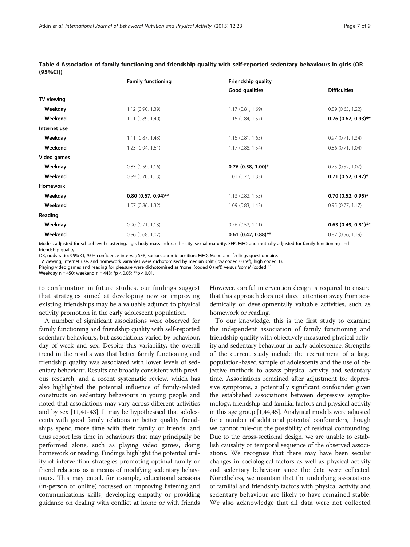|              | <b>Family functioning</b> | Friendship quality    |                       |  |
|--------------|---------------------------|-----------------------|-----------------------|--|
|              |                           | Good qualities        | <b>Difficulties</b>   |  |
| TV viewing   |                           |                       |                       |  |
| Weekday      | 1.12 (0.90, 1.39)         | 1.17(0.81, 1.69)      | 0.89(0.65, 1.22)      |  |
| Weekend      | 1.11(0.89, 1.40)          | 1.15(0.84, 1.57)      | $0.76$ (0.62, 0.93)** |  |
| Internet use |                           |                       |                       |  |
| Weekday      | 1.11(0.87, 1.43)          | 1.15(0.81, 1.65)      | 0.97(0.71, 1.34)      |  |
| Weekend      | 1.23(0.94, 1.61)          | 1.17 (0.88, 1.54)     | $0.86$ $(0.71, 1.04)$ |  |
| Video games  |                           |                       |                       |  |
| Weekday      | $0.83$ $(0.59, 1.16)$     | $0.76$ (0.58, 1.00)*  | $0.75$ $(0.52, 1.07)$ |  |
| Weekend      | 0.89(0.70, 1.13)          | $1.01$ $(0.77, 1.33)$ | $0.71$ (0.52, 0.97)*  |  |
| Homework     |                           |                       |                       |  |
| Weekday      | $0.80$ (0.67, 0.94)**     | 1.13(0.82, 1.55)      | $0.70(0.52, 0.95)^*$  |  |
| Weekend      | 1.07 (0.86, 1.32)         | 1.09(0.83, 1.43)      | 0.95(0.77, 1.17)      |  |
| Reading      |                           |                       |                       |  |
| Weekday      | 0.90(0.71, 1.13)          | 0.76(0.52, 1.11)      | $0.63$ (0.49, 0.81)** |  |
| Weekend      | $0.86$ $(0.68, 1.07)$     | $0.61$ (0.42, 0.88)** | $0.82$ (0.56, 1.19)   |  |

<span id="page-6-0"></span>Table 4 Association of family functioning and friendship quality with self-reported sedentary behaviours in girls (OR (95%CI))

Models adjusted for school-level clustering, age, body mass index, ethnicity, sexual maturity, SEP, MFQ and mutually adjusted for family functioning and friendship quality.

OR, odds ratio; 95% CI, 95% confidence interval; SEP, socioeconomic position; MFQ, Mood and feelings questionnaire.

TV viewing, internet use, and homework variables were dichotomised by median split (low coded 0 (ref); high coded 1).

Playing video games and reading for pleasure were dichotomised as 'none' (coded 0 (ref)) versus 'some' (coded 1).

Weekday n = 450; weekend n = 448; \*p < 0.05; \*\*p < 0.01.

to confirmation in future studies, our findings suggest that strategies aimed at developing new or improving existing friendships may be a valuable adjunct to physical activity promotion in the early adolescent population.

A number of significant associations were observed for family functioning and friendship quality with self-reported sedentary behaviours, but associations varied by behaviour, day of week and sex. Despite this variability, the overall trend in the results was that better family functioning and friendship quality was associated with lower levels of sedentary behaviour. Results are broadly consistent with previous research, and a recent systematic review, which has also highlighted the potential influence of family-related constructs on sedentary behaviours in young people and noted that associations may vary across different activities and by sex [[11](#page-7-0)[,41-43\]](#page-8-0). It may be hypothesised that adolescents with good family relations or better quality friendships spend more time with their family or friends, and thus report less time in behaviours that may principally be performed alone, such as playing video games, doing homework or reading. Findings highlight the potential utility of intervention strategies promoting optimal family or friend relations as a means of modifying sedentary behaviours. This may entail, for example, educational sessions (in-person or online) focussed on improving listening and communications skills, developing empathy or providing guidance on dealing with conflict at home or with friends

However, careful intervention design is required to ensure that this approach does not direct attention away from academically or developmentally valuable activities, such as homework or reading.

To our knowledge, this is the first study to examine the independent association of family functioning and friendship quality with objectively measured physical activity and sedentary behaviour in early adolescence. Strengths of the current study include the recruitment of a large population-based sample of adolescents and the use of objective methods to assess physical activity and sedentary time. Associations remained after adjustment for depressive symptoms, a potentially significant confounder given the established associations between depressive symptomology, friendship and familial factors and physical activity in this age group [\[1](#page-7-0)[,44,45](#page-8-0)]. Analytical models were adjusted for a number of additional potential confounders, though we cannot rule-out the possibility of residual confounding. Due to the cross-sectional design, we are unable to establish causality or temporal sequence of the observed associations. We recognise that there may have been secular changes in sociological factors as well as physical activity and sedentary behaviour since the data were collected. Nonetheless, we maintain that the underlying associations of familial and friendship factors with physical activity and sedentary behaviour are likely to have remained stable. We also acknowledge that all data were not collected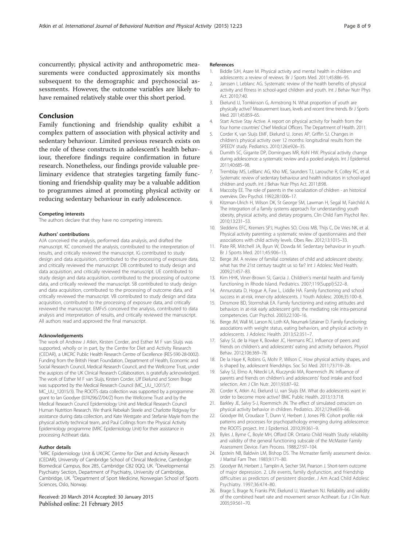<span id="page-7-0"></span>concurrently; physical activity and anthropometric measurements were conducted approximately six months subsequent to the demographic and psychosocial assessments. However, the outcome variables are likely to have remained relatively stable over this short period.

#### Conclusion

Family functioning and friendship quality exhibit a complex pattern of association with physical activity and sedentary behaviour. Limited previous research exists on the role of these constructs in adolescent's health behaviour, therefore findings require confirmation in future research. Nonetheless, our findings provide valuable preliminary evidence that strategies targeting family functioning and friendship quality may be a valuable addition to programmes aimed at promoting physical activity or reducing sedentary behaviour in early adolescence.

#### Competing interests

The authors declare that they have no competing interests.

#### Authors' contributions

AJA conceived the analysis, performed data analysis, and drafted the manuscript. KC conceived the analysis, contributed to the interpretation of results, and critically reviewed the manuscript. IG contributed to study design and data acquisition, contributed to the processing of exposure data, and critically reviewed the manuscript. DB contributed to study design and data acquisition, and critically reviewed the manuscript. UE contributed to study design and data acquisition, contributed to the processing of outcome data, and critically reviewed the manuscript. SB contributed to study design and data acquisition, contributed to the processing of outcome data, and critically reviewed the manuscript. VB contributed to study design and data acquisition, contributed to the processing of exposure data, and critically reviewed the manuscript. EMFvS conceived the analysis, contributed to data analysis and interpretation of results, and critically reviewed the manuscript. All authors read and approved the final manuscript.

#### Acknowledgements

The work of Andrew J Atkin, Kirsten Corder, and Esther M F van Sluijs was supported, wholly or in part, by the Centre for Diet and Activity Research (CEDAR), a UKCRC Public Health Research Centre of Excellence (RES-590-28-0002). Funding from the British Heart Foundation, Department of Health, Economic and Social Research Council, Medical Research Council, and the Wellcome Trust, under the auspices of the UK Clinical Research Collaboration, is gratefully acknowledged. The work of Esther M F van Sluijs, Kirsten Corder, Ulf Ekelund and Soren Brage was supported by the Medical Research Council (MC\_UU\_12015/7, MC\_UU\_12015/3). The ROOTS data collection was supported by a programme grant to Ian Goodyer (074296/Z/04/Z) from the Wellcome Trust and by the Medical Research Council Epidemiology Unit and Medical Research Council Human Nutrition Research. We thank Rebekah Steele and Charlotte Ridgway for assistance during data collection, and Kate Westgate and Stefanie Mayle from the physical activity technical team, and Paul Collings from the Physical Activity Epidemiology programme (MRC Epidemiology Unit) for their assistance in processing Actiheart data.

#### Author details

<sup>1</sup>MRC Epidemiology Unit & UKCRC Centre for Diet and Activity Research (CEDAR), University of Cambridge School of Clinical Medicine, Cambridge Biomedical Campus, Box 285, Cambridge CB2 0QQ, UK. <sup>2</sup>Developmental Psychiatry Section, Department of Psychiatry, University of Cambridge, Cambridge, UK.<sup>3</sup> Department of Sport Medicine, Norwegian School of Sports Sciences, Oslo, Norway.

Received: 20 March 2014 Accepted: 30 January 2015 Published online: 21 February 2015

#### References

- 1. Biddle SJH, Asare M. Physical activity and mental health in children and adolescents: a review of reviews. Br J Sports Med. 2011;45:886–95.
- Janssen I, Leblanc AG. Systematic review of the health benefits of physical activity and fitness in school-aged children and youth. Int J Behav Nutr Phys Act. 2010;7:40.
- 3. Ekelund U, Tomkinson G, Armstrong N. What proportion of youth are physically active? Measurement issues, levels and recent time trends. Br J Sports Med. 2011;45:859–65.
- 4. Start Active Stay Active. A report on physical activity for health from the four home countries' Chief Medical Officers. The Department of Health. 2011.
- 5. Corder K, van Sluijs EMF, Ekelund U, Jones AP, Griffin SJ. Changes in children's physical activity over 12 months: longitudinal results from the SPEEDY study. Pediatrics. 2010;126:e926–35.
- 6. Dumith SC, Gigante DP, Domingues MR, Kohl HW. Physical activity change during adolescence: a systematic review and a pooled analysis. Int J Epidemiol. 2011;40:685–98.
- 7. Tremblay MS, LeBlanc AG, Kho ME, Saunders TJ, Larouche R, Colley RC, et al. Systematic review of sedentary behaviour and health indicators in school-aged children and youth. Int J Behav Nutr Phys Act. 2011;8:98.
- 8. Maccoby EE. The role of parents in the socialization of children an historical overview. Dev Psychol. 1992;28:1006–17.
- 9. Kitzman-Ulrich H, Wilson DK, St George SM, Lawman H, Segal M, Fairchild A. The integration of a family systems approach for understanding youth obesity, physical activity, and dietary programs. Clin Child Fam Psychol Rev. 2010;13:231–53.
- 10. Sleddens EFC, Kremers SPJ, Hughes SO, Cross MB, Thijs C, De Vries NK, et al. Physical activity parenting: a systematic review of questionnaires and their associations with child activity levels. Obes Rev. 2012;13:1015–33.
- 11. Pate RR, Mitchell JA, Byun W, Dowda M. Sedentary behaviour in youth. Br J Sports Med. 2011;45:906–13.
- 12. Berge JM. A review of familial correlates of child and adolescent obesity: what has the 21st century taught us so far? Int J Adolesc Med Health. 2009;21:457–83.
- 13. Kim HHK, Viner-Brown SI, Garcia J. Children's mental health and family functioning in Rhode Island. Pediatrics. 2007;119(Suppl):S22–8.
- 14. Annunziata D, Hogue A, Faw L, Liddle HA. Family functioning and school success in at-risk, inner-city adolescents. J Youth Adolesc. 2006;35:100–8.
- 15. Dinsmore BD, Stormshak EA. Family functioning and eating attitudes and behaviors in at-risk early adolescent girls: the mediating role intra-personal competencies. Curr Psychol. 2003;22:100–16.
- 16. Berge JM, Wall M, Larson N, Loth KA, Neumark-Sztainer D. Family functioning: associations with weight status, eating behaviors, and physical activity in adolescents. J Adolesc Health. 2013;52:351–7.
- 17. Salvy SJ, de la Haye K, Bowker JC, Hermans RCJ. Influence of peers and friends on children's and adolescents' eating and activity behaviors. Physiol Behav. 2012;106:369–78.
- 18. De la Haye K, Robins G, Mohr P, Wilson C. How physical activity shapes, and is shaped by, adolescent friendships. Soc Sci Med. 2011;73:719–28.
- 19. Salvy SJ, Elmo A, Nitecki LA, Kluczynski MA, Roemmich JN. Influence of parents and friends on children's and adolescents' food intake and food selection. Am J Clin Nutr. 2011;93:87–92.
- 20. Corder K, Atkin AJ, Ekelund U, van Sluijs EM. What do adolescents want in order to become more active? BMC Public Health. 2013;13:718.
- 21. Barkley JE, Salvy S-J, Roemmich JN. The effect of simulated ostracism on physical activity behavior in children. Pediatrics. 2012;129:e659–66.
- 22. Goodyer IM, Croudace T, Dunn V, Herbert J, Jones PB. Cohort profile: risk patterns and processes for psychopathology emerging during adolescence: the ROOTS project. Int J Epidemiol. 2010;39:361–9.
- 23. Byles J, Byrne C, Boyle MH, Offord DR. Ontario Child Health Study: reliability and validity of the general functioning subscale of the McMaster Family Assessment Device. Fam Process. 1988;27:97–104.
- 24. Epstein NB, Baldwin LM, Bishop DS. The Mcmaster family assessment device. J Marital Fam Ther. 1983;9:171–80.
- 25. Goodyer IM, Herbert J, Tamplin A, Secher SM, Pearson J. Short-term outcome of major depression. 2. Life events, family dysfunction, and friendship difficulties as predictors of persistent disorder. J Am Acad Child Adolesc Psychiatry. 1997;36:474–80.
- 26. Brage S, Brage N, Franks PW, Ekelund U, Wareham NJ. Reliability and validity of the combined heart rate and movement sensor Actiheart. Eur J Clin Nutr. 2005;59:561–70.